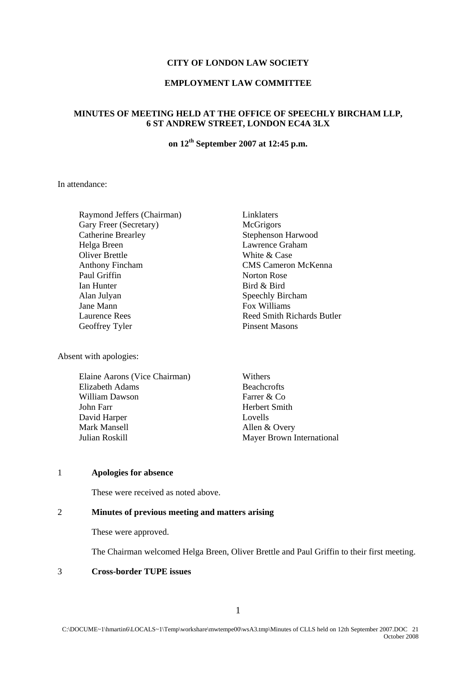#### **CITY OF LONDON LAW SOCIETY**

## **EMPLOYMENT LAW COMMITTEE**

# **MINUTES OF MEETING HELD AT THE OFFICE OF SPEECHLY BIRCHAM LLP, 6 ST ANDREW STREET, LONDON EC4A 3LX**

# **on 12th September 2007 at 12:45 p.m.**

In attendance:

Raymond Jeffers (Chairman) Linklaters Gary Freer (Secretary) McGrigors Catherine Brearley Stephenson Harwood Helga Breen Lawrence Graham Oliver Brettle White & Case Anthony Fincham CMS Cameron McKenna Paul Griffin Norton Rose Ian Hunter Bird & Bird Alan Julyan Speechly Bircham Jane Mann **Fox Williams** Laurence Rees Reed Smith Richards Butler Geoffrey Tyler Pinsent Masons

Absent with apologies:

| Elaine Aarons (Vice Chairman) | Withers                   |
|-------------------------------|---------------------------|
| Elizabeth Adams               | <b>Beachcrofts</b>        |
| William Dawson                | Farrer & Co               |
| John Farr                     | Herbert Smith             |
| David Harper                  | Lovells                   |
| Mark Mansell                  | Allen & Overy             |
| Julian Roskill                | Mayer Brown International |

#### 1 **Apologies for absence**

These were received as noted above.

# 2 **Minutes of previous meeting and matters arising**

These were approved.

The Chairman welcomed Helga Breen, Oliver Brettle and Paul Griffin to their first meeting.

#### 3 **Cross-border TUPE issues**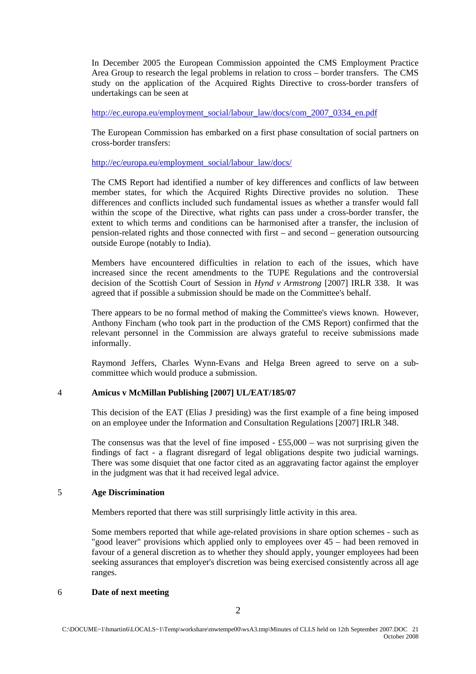In December 2005 the European Commission appointed the CMS Employment Practice Area Group to research the legal problems in relation to cross – border transfers. The CMS study on the application of the Acquired Rights Directive to cross-border transfers of undertakings can be seen at

[http://ec.europa.eu/employment\\_social/labour\\_law/docs/com\\_2007\\_0334\\_en.pdf](http://ec.europa.eu/employment_social/labour_law/docs/com_2007_0334_en.pdf)

The European Commission has embarked on a first phase consultation of social partners on cross-border transfers:

[http://ec/europa.eu/employment\\_social/labour\\_law/docs/](http://ec/europa.eu/employment_social/labour_law/docs/)

The CMS Report had identified a number of key differences and conflicts of law between member states, for which the Acquired Rights Directive provides no solution. These differences and conflicts included such fundamental issues as whether a transfer would fall within the scope of the Directive, what rights can pass under a cross-border transfer, the extent to which terms and conditions can be harmonised after a transfer, the inclusion of pension-related rights and those connected with first – and second – generation outsourcing outside Europe (notably to India).

Members have encountered difficulties in relation to each of the issues, which have increased since the recent amendments to the TUPE Regulations and the controversial decision of the Scottish Court of Session in *Hynd v Armstrong* [2007] IRLR 338. It was agreed that if possible a submission should be made on the Committee's behalf.

There appears to be no formal method of making the Committee's views known. However, Anthony Fincham (who took part in the production of the CMS Report) confirmed that the relevant personnel in the Commission are always grateful to receive submissions made informally.

Raymond Jeffers, Charles Wynn-Evans and Helga Breen agreed to serve on a subcommittee which would produce a submission.

### 4 **Amicus v McMillan Publishing [2007] UL/EAT/185/07**

This decision of the EAT (Elias J presiding) was the first example of a fine being imposed on an employee under the Information and Consultation Regulations [2007] IRLR 348.

The consensus was that the level of fine imposed  $-$  £55,000 – was not surprising given the findings of fact - a flagrant disregard of legal obligations despite two judicial warnings. There was some disquiet that one factor cited as an aggravating factor against the employer in the judgment was that it had received legal advice.

## 5 **Age Discrimination**

Members reported that there was still surprisingly little activity in this area.

Some members reported that while age-related provisions in share option schemes - such as "good leaver" provisions which applied only to employees over 45 – had been removed in favour of a general discretion as to whether they should apply, younger employees had been seeking assurances that employer's discretion was being exercised consistently across all age ranges.

#### 6 **Date of next meeting**